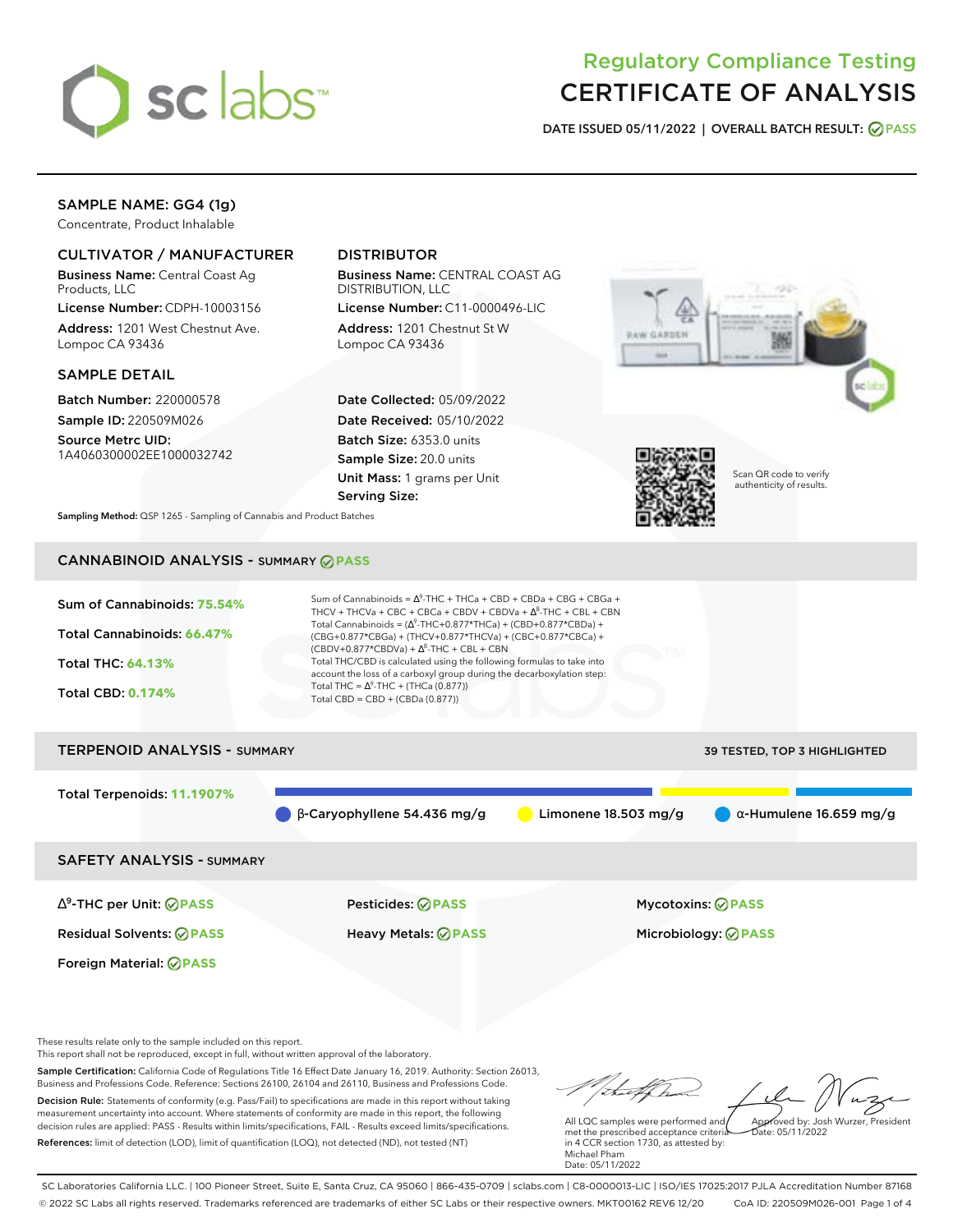

# Regulatory Compliance Testing CERTIFICATE OF ANALYSIS

**DATE ISSUED 05/11/2022 | OVERALL BATCH RESULT: PASS**

## SAMPLE NAME: GG4 (1g)

Concentrate, Product Inhalable

### CULTIVATOR / MANUFACTURER

Business Name: Central Coast Ag Products, LLC

License Number: CDPH-10003156 Address: 1201 West Chestnut Ave. Lompoc CA 93436

#### SAMPLE DETAIL

Batch Number: 220000578 Sample ID: 220509M026

Source Metrc UID: 1A4060300002EE1000032742

## DISTRIBUTOR

Business Name: CENTRAL COAST AG DISTRIBUTION, LLC

License Number: C11-0000496-LIC Address: 1201 Chestnut St W Lompoc CA 93436

Date Collected: 05/09/2022 Date Received: 05/10/2022 Batch Size: 6353.0 units Sample Size: 20.0 units Unit Mass: 1 grams per Unit Serving Size:





Scan QR code to verify authenticity of results.

**Sampling Method:** QSP 1265 - Sampling of Cannabis and Product Batches

# CANNABINOID ANALYSIS - SUMMARY **PASS**



Total Terpenoids: **11.1907%**

 $\bullet$  β-Caryophyllene 54.436 mg/g  $\bullet$  Limonene 18.503 mg/g  $\bullet$  α-Humulene 16.659 mg/g

SAFETY ANALYSIS - SUMMARY

∆ 9 -THC per Unit: **PASS** Pesticides: **PASS** Mycotoxins: **PASS**

Foreign Material: **PASS**

Residual Solvents: **PASS** Heavy Metals: **PASS** Microbiology: **PASS**

These results relate only to the sample included on this report.

This report shall not be reproduced, except in full, without written approval of the laboratory.

Sample Certification: California Code of Regulations Title 16 Effect Date January 16, 2019. Authority: Section 26013, Business and Professions Code. Reference: Sections 26100, 26104 and 26110, Business and Professions Code. Decision Rule: Statements of conformity (e.g. Pass/Fail) to specifications are made in this report without taking measurement uncertainty into account. Where statements of conformity are made in this report, the following decision rules are applied: PASS - Results within limits/specifications, FAIL - Results exceed limits/specifications.

References: limit of detection (LOD), limit of quantification (LOQ), not detected (ND), not tested (NT)

Approved by: Josh Wurzer, President

 $hat: 05/11/2022$ 

All LQC samples were performed and met the prescribed acceptance criteria in 4 CCR section 1730, as attested by: Michael Pham Date: 05/11/2022

SC Laboratories California LLC. | 100 Pioneer Street, Suite E, Santa Cruz, CA 95060 | 866-435-0709 | sclabs.com | C8-0000013-LIC | ISO/IES 17025:2017 PJLA Accreditation Number 87168 © 2022 SC Labs all rights reserved. Trademarks referenced are trademarks of either SC Labs or their respective owners. MKT00162 REV6 12/20 CoA ID: 220509M026-001 Page 1 of 4